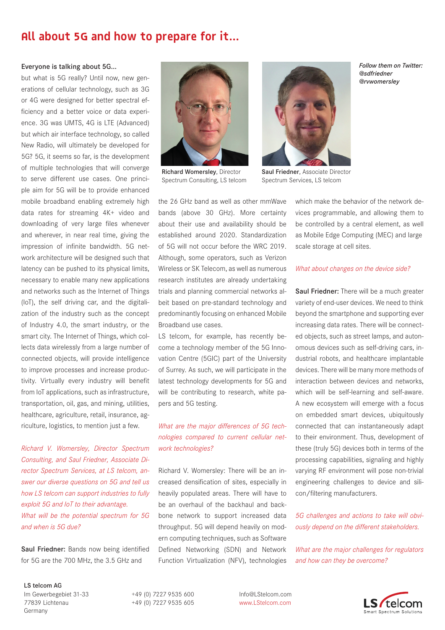# **All about 5G and how to prepare for it…**

#### Everyone is talking about 5G...

but what is 5G really? Until now, new generations of cellular technology, such as 3G or 4G were designed for better spectral efficiency and a better voice or data experience. 3G was UMTS, 4G is LTE (Advanced) but which air interface technology, so called New Radio, will ultimately be developed for 5G? 5G, it seems so far, is the development of multiple technologies that will converge to serve different use cases. One principle aim for 5G will be to provide enhanced mobile broadband enabling extremely high data rates for streaming 4K+ video and downloading of very large files whenever and wherever, in near real time, giving the impression of infinite bandwidth. 5G network architecture will be designed such that latency can be pushed to its physical limits, necessary to enable many new applications and networks such as the Internet of Things (IoT), the self driving car, and the digitalization of the industry such as the concept of Industry 4.0, the smart industry, or the smart city. The Internet of Things, which collects data wirelessly from a large number of connected objects, will provide intelligence to improve processes and increase productivity. Virtually every industry will benefit from IoT applications, such as infrastructure, transportation, oil, gas, and mining, utilities, healthcare, agriculture, retail, insurance, agriculture, logistics, to mention just a few.

*Richard V. Womersley, Director Spectrum Consulting, and Saul Friedner, Associate Director Spectrum Services, at LS telcom, answer our diverse questions on 5G and tell us how LS telcom can support industries to fully exploit 5G and IoT to their advantage. What will be the potential spectrum for 5G and when is 5G due?*

Saul Friedner: Bands now being identified for 5G are the 700 MHz, the 3.5 GHz and

#### LS telcom AG

Im Gewerbegebiet 31-33 +49 (0) 7227 9535 600 Info@LStelcom.com 77839 Lichtenau +49 (0) 7227 9535 605 www.LStelcom.com Germany





Richard Womersley, Director Spectrum Consulting, LS telcom

the 26 GHz band as well as other mmWave bands (above 30 GHz). More certainty about their use and availability should be established around 2020. Standardization of 5G will not occur before the WRC 2019. Although, some operators, such as Verizon Wireless or SK Telecom, as well as numerous research institutes are already undertaking trials and planning commercial networks albeit based on pre-standard technology and predominantly focusing on enhanced Mobile Broadband use cases.

LS telcom, for example, has recently become a technology member of the 5G Innovation Centre (5GIC) part of the University of Surrey. As such, we will participate in the latest technology developments for 5G and will be contributing to research, white papers and 5G testing.

## *What are the major differences of 5G technologies compared to current cellular network technologies?*

Richard V. Womersley: There will be an increased densification of sites, especially in heavily populated areas. There will have to be an overhaul of the backhaul and backbone network to support increased data throughput. 5G will depend heavily on modern computing techniques, such as Software Defined Networking (SDN) and Network Function Virtualization (NFV), technologies which make the behavior of the network devices programmable, and allowing them to be controlled by a central element, as well as Mobile Edge Computing (MEC) and large scale storage at cell sites.

Saul Friedner, Associate Director Spectrum Services, LS telcom

### *What about changes on the device side?*

Saul Friedner: There will be a much greater variety of end-user devices. We need to think beyond the smartphone and supporting ever increasing data rates. There will be connected objects, such as street lamps, and autonomous devices such as self-driving cars, industrial robots, and healthcare implantable devices. There will be many more methods of interaction between devices and networks, which will be self-learning and self-aware. A new ecosystem will emerge with a focus on embedded smart devices, ubiquitously connected that can instantaneously adapt to their environment. Thus, development of these (truly 5G) devices both in terms of the processing capabilities, signaling and highly varying RF environment will pose non-trivial engineering challenges to device and silicon/filtering manufacturers.

*5G challenges and actions to take will obviously depend on the different stakeholders.* 

*What are the major challenges for regulators and how can they be overcome?*